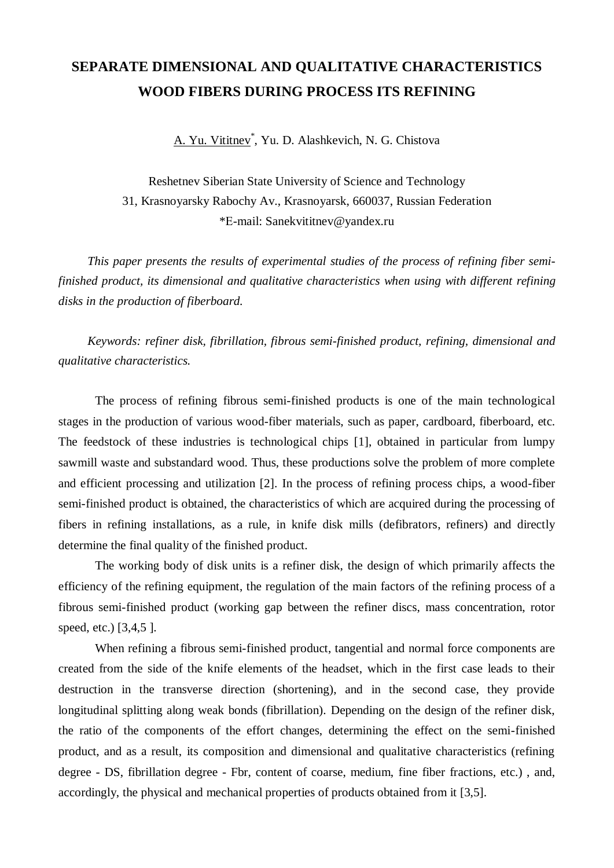## **SEPARATE DIMENSIONAL AND QUALITATIVE CHARACTERISTICS WOOD FIBERS DURING PROCESS ITS REFINING**

A. Yu. Vititnev<sup>\*</sup>, Yu. D. Alashkevich, N. G. Chistova

Reshetnev Siberian State University of Science and Technology 31, Krasnoyarsky Rabochy Av., Krasnoyarsk, 660037, Russian Federation \*Е-mail: Sanekvititnev@yandex.ru

*This paper presents the results of experimental studies of the process of refining fiber semifinished product, its dimensional and qualitative characteristics when using with different refining disks in the production of fiberboard.*

*Keywords: refiner disk, fibrillation, fibrous semi-finished product, refining, dimensional and qualitative characteristics.*

The process of refining fibrous semi-finished products is one of the main technological stages in the production of various wood-fiber materials, such as paper, cardboard, fiberboard, etc. The feedstock of these industries is technological chips [1], obtained in particular from lumpy sawmill waste and substandard wood. Thus, these productions solve the problem of more complete and efficient processing and utilization [2]. In the process of refining process chips, a wood-fiber semi-finished product is obtained, the characteristics of which are acquired during the processing of fibers in refining installations, as a rule, in knife disk mills (defibrators, refiners) and directly determine the final quality of the finished product.

The working body of disk units is a refiner disk, the design of which primarily affects the efficiency of the refining equipment, the regulation of the main factors of the refining process of a fibrous semi-finished product (working gap between the refiner discs, mass concentration, rotor speed, etc.) [3,4,5 ].

When refining a fibrous semi-finished product, tangential and normal force components are created from the side of the knife elements of the headset, which in the first case leads to their destruction in the transverse direction (shortening), and in the second case, they provide longitudinal splitting along weak bonds (fibrillation). Depending on the design of the refiner disk, the ratio of the components of the effort changes, determining the effect on the semi-finished product, and as a result, its composition and dimensional and qualitative characteristics (refining degree - DS, fibrillation degree - Fbr, content of coarse, medium, fine fiber fractions, etc.) , and, accordingly, the physical and mechanical properties of products obtained from it [3,5].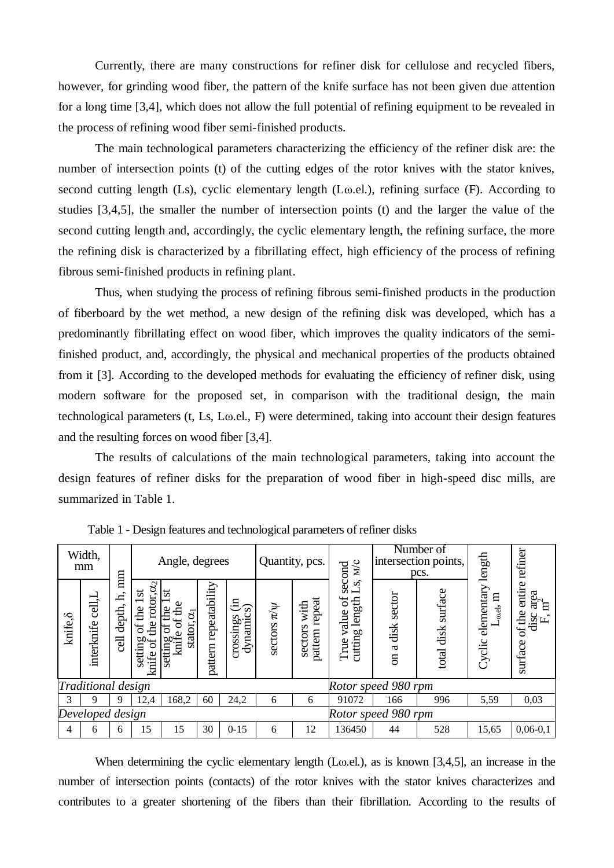Currently, there are many constructions for refiner disk for cellulose and recycled fibers, however, for grinding wood fiber, the pattern of the knife surface has not been given due attention for a long time [3,4], which does not allow the full potential of refining equipment to be revealed in the process of refining wood fiber semi-finished products.

The main technological parameters characterizing the efficiency of the refiner disk are: the number of intersection points (t) of the cutting edges of the rotor knives with the stator knives, second cutting length (Ls), cyclic elementary length (Lω.el.), refining surface (F). According to studies [3,4,5], the smaller the number of intersection points (t) and the larger the value of the second cutting length and, accordingly, the cyclic elementary length, the refining surface, the more the refining disk is characterized by a fibrillating effect, high efficiency of the process of refining fibrous semi-finished products in refining plant.

Thus, when studying the process of refining fibrous semi-finished products in the production of fiberboard by the wet method, a new design of the refining disk was developed, which has a predominantly fibrillating effect on wood fiber, which improves the quality indicators of the semifinished product, and, accordingly, the physical and mechanical properties of the products obtained from it [3]. According to the developed methods for evaluating the efficiency of refiner disk, using modern software for the proposed set, in comparison with the traditional design, the main technological parameters (t, Ls, Lω.el., F) were determined, taking into account their design features and the resulting forces on wood fiber [3,4].

The results of calculations of the main technological parameters, taking into account the design features of refiner disks for the preparation of wood fiber in high-speed disc mills, are summarized in Table 1.

| Width,<br>mm    |                                                 | mm                       | Angle, degrees                                                                    |                                                                         |                          |                                            | Quantity, pcs.     |                                      | $M_{\rm C}$<br>second                        | Number of<br>intersection points,<br>pcs.     |                           | length                              | refiner                                                              |  |
|-----------------|-------------------------------------------------|--------------------------|-----------------------------------------------------------------------------------|-------------------------------------------------------------------------|--------------------------|--------------------------------------------|--------------------|--------------------------------------|----------------------------------------------|-----------------------------------------------|---------------------------|-------------------------------------|----------------------------------------------------------------------|--|
| knife, $\delta$ | $\mathop{\mathrm{cell}}\nolimits$<br>interknife | ᅌ<br>depth,<br><b>TB</b> | $\alpha$<br>$\mathbf{a}$<br>the rotor<br>the<br>$\sigma$<br>setting<br>knife of t | 'ಹ<br>Φ<br>the<br>与<br>stator, $\alpha_1$<br>đ<br>ð<br>aguux<br>0 aunas | repeatability<br>pattern | $E_{\mathfrak{D}}$<br>dynamic<br>crossings | sectors $\pi/\psi$ | repeat<br>with<br>sectors<br>pattern | ω<br>ð<br>length<br>value<br>cutting<br>True | sector<br>disk<br>$\mathbf{\alpha}$<br>$\sin$ | surface<br>disk<br>total. | <b>Cyclic elementary</b><br>吕<br>0e | entire<br>area<br>$\Xi$<br>of the<br>disc<br>$\mathbf{L}$<br>surface |  |
|                 | Traditional design                              |                          |                                                                                   |                                                                         |                          |                                            |                    |                                      |                                              | Rotor speed 980 rpm                           |                           |                                     |                                                                      |  |
| 3               | 9                                               | 9                        | 12,4                                                                              | 168,2                                                                   | 60                       | 24,2                                       | 6                  | 6                                    | 91072                                        | 166                                           | 996                       | 5,59                                | 0,03                                                                 |  |
|                 | Developed design                                |                          |                                                                                   |                                                                         |                          |                                            |                    |                                      |                                              | Rotor speed 980 rpm                           |                           |                                     |                                                                      |  |
| 4               | 6                                               | 6                        | 15                                                                                | 15                                                                      | 30                       | $0 - 15$                                   | 6                  | 12                                   | 136450                                       | 44                                            | 528                       | 15,65                               | $0,06-0,1$                                                           |  |

Table 1 - Design features and technological parameters of refiner disks

When determining the cyclic elementary length (Lω.el.), as is known [3,4,5], an increase in the number of intersection points (contacts) of the rotor knives with the stator knives characterizes and contributes to a greater shortening of the fibers than their fibrillation. According to the results of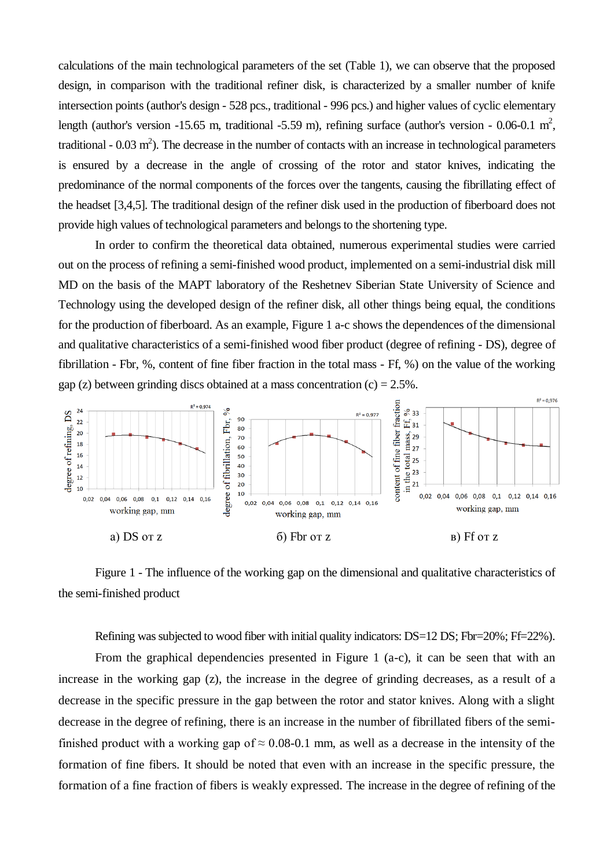calculations of the main technological parameters of the set (Table 1), we can observe that the proposed design, in comparison with the traditional refiner disk, is characterized by a smaller number of knife intersection points (author's design - 528 pcs., traditional - 996 pcs.) and higher values of cyclic elementary length (author's version -15.65 m, traditional -5.59 m), refining surface (author's version - 0.06-0.1 m<sup>2</sup>, traditional -  $0.03 \text{ m}^2$ ). The decrease in the number of contacts with an increase in technological parameters is ensured by a decrease in the angle of crossing of the rotor and stator knives, indicating the predominance of the normal components of the forces over the tangents, causing the fibrillating effect of the headset [3,4,5]. The traditional design of the refiner disk used in the production of fiberboard does not provide high values of technological parameters and belongs to the shortening type.

In order to confirm the theoretical data obtained, numerous experimental studies were carried out on the process of refining a semi-finished wood product, implemented on a semi-industrial disk mill MD on the basis of the MAPT laboratory of the Reshetnev Siberian State University of Science and Technology using the developed design of the refiner disk, all other things being equal, the conditions for the production of fiberboard. As an example, Figure 1 a-c shows the dependences of the dimensional and qualitative characteristics of a semi-finished wood fiber product (degree of refining - DS), degree of fibrillation - Fbr, %, content of fine fiber fraction in the total mass - Ff, %) on the value of the working gap (z) between grinding discs obtained at a mass concentration  $(c) = 2.5\%$ .



Figure 1 - The influence of the working gap on the dimensional and qualitative characteristics of the semi-finished product

Refining was subjected to wood fiber with initial quality indicators: DS=12 DS; Fbr=20%; Ff=22%).

From the graphical dependencies presented in Figure 1 (a-c), it can be seen that with an increase in the working gap (z), the increase in the degree of grinding decreases, as a result of a decrease in the specific pressure in the gap between the rotor and stator knives. Along with a slight decrease in the degree of refining, there is an increase in the number of fibrillated fibers of the semifinished product with a working gap of  $\approx 0.08$ -0.1 mm, as well as a decrease in the intensity of the formation of fine fibers. It should be noted that even with an increase in the specific pressure, the formation of a fine fraction of fibers is weakly expressed. The increase in the degree of refining of the